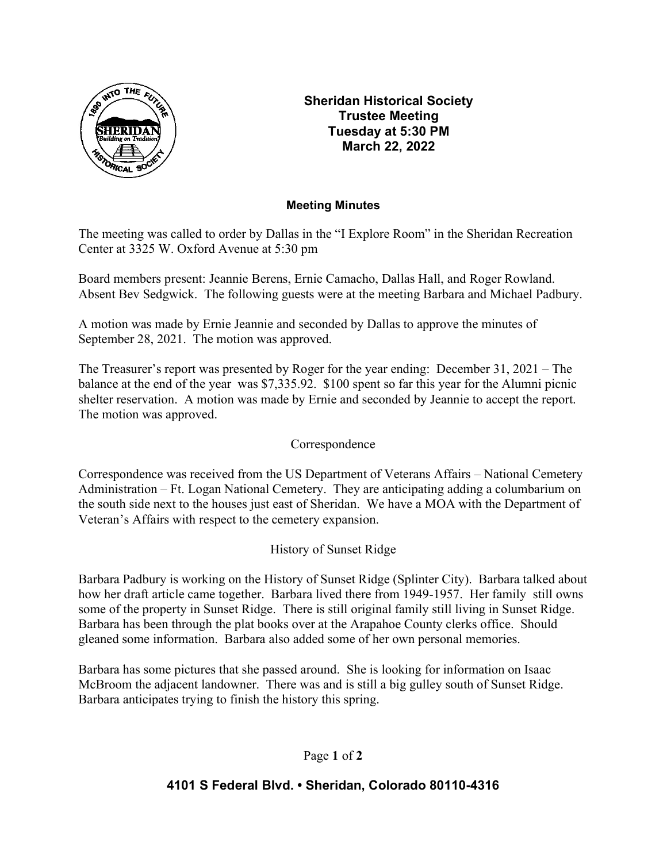

Sheridan Historical Society Trustee Meeting Tuesday at 5:30 PM March 22, 2022

## Meeting Minutes

The meeting was called to order by Dallas in the "I Explore Room" in the Sheridan Recreation Center at 3325 W. Oxford Avenue at 5:30 pm

Board members present: Jeannie Berens, Ernie Camacho, Dallas Hall, and Roger Rowland. Absent Bev Sedgwick. The following guests were at the meeting Barbara and Michael Padbury.

A motion was made by Ernie Jeannie and seconded by Dallas to approve the minutes of September 28, 2021. The motion was approved.

The Treasurer's report was presented by Roger for the year ending: December 31, 2021 – The balance at the end of the year was \$7,335.92. \$100 spent so far this year for the Alumni picnic shelter reservation. A motion was made by Ernie and seconded by Jeannie to accept the report. The motion was approved.

# Correspondence

Correspondence was received from the US Department of Veterans Affairs – National Cemetery Administration – Ft. Logan National Cemetery. They are anticipating adding a columbarium on the south side next to the houses just east of Sheridan. We have a MOA with the Department of Veteran's Affairs with respect to the cemetery expansion.

# History of Sunset Ridge

Barbara Padbury is working on the History of Sunset Ridge (Splinter City). Barbara talked about how her draft article came together. Barbara lived there from 1949-1957. Her family still owns some of the property in Sunset Ridge. There is still original family still living in Sunset Ridge. Barbara has been through the plat books over at the Arapahoe County clerks office. Should gleaned some information. Barbara also added some of her own personal memories.

Barbara has some pictures that she passed around. She is looking for information on Isaac McBroom the adjacent landowner. There was and is still a big gulley south of Sunset Ridge. Barbara anticipates trying to finish the history this spring.

## Page 1 of 2

## 4101 S Federal Blvd. • Sheridan, Colorado 80110-4316